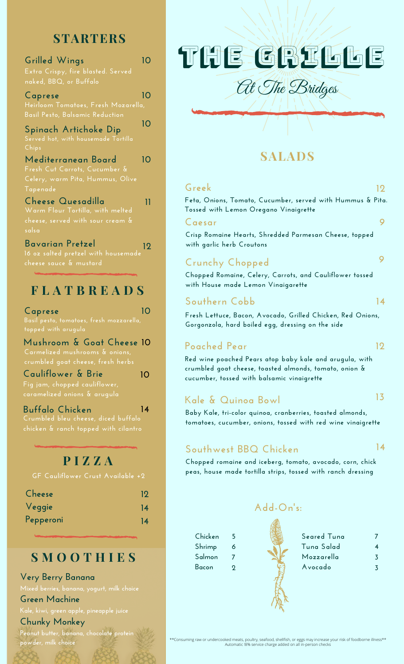# **STARTERS**

| Grilled Wings<br>Extra Crispy, fire blasted. Served<br>naked, BBQ, or Buffalo                        |    |
|------------------------------------------------------------------------------------------------------|----|
| Caprese<br>Heirloom Tomatoes, Fresh Mozarella,<br>Basil Pesto, Balsamic Reduction                    | 10 |
| Spinach Artichoke Dip<br><u>Served hot, with housemade Tortilla</u><br>Chips                         | 10 |
| Mediterranean Board<br>Fresh Cut Carrots, Cucumber &<br>Celery, warm Pita, Hummus, Olive<br>Tapenade | 10 |
| Cheese Quesadilla<br>Warm Flour Tortilla, with melted<br>cheese, served with sour cream &<br>salsa   | 11 |
| Bavarian Pretzel<br>16 oz salted pretzel with housemade<br>cheese sauce & mustard                    | 19 |

## **F L A T B R E A D S**

**Basil pesto, tomatoes, fresh mozzarella, 10 Caprese**

**crumbled goat cheese, fresh herbs Mushroom & Goat Cheese 10**

**10**

**Cauliflower & Brie Fig jam, chopped cauliflower,**

**chicken & ranch topped with cilantro Buffalo Chicken 14**

# **P I Z Z A**

**GF Cauliflower Crust Available +2**

| Cheese    | 19 |
|-----------|----|
| Veggie    | 14 |
| Pepperoni | 14 |

### **S M O O T H I E S**

**Very Berry Banana**

#### **Green Machine**

**Kale, kiwi, green apple, pineapple juice**

#### **Chunky Monkey**

**Peanut butter, banana, chocolate protein powder, milk choice**

# THE GRILLE

At The Bridges

### **SALADS**

**Feta, Onions, Tomato, Cucumber, served with Hummus & Pita. Tossed with Lemon Oregano Vinaigrette Greek 12**

#### **Caesar 9**

**Crisp Romaine Hearts, Shredded Parmesan Cheese, topped with garlic herb Croutons**

### **Crunchy Chopped**

**Chopped Romaine, Celery, Carrots, and Cauliflower tossed with House made Lemon Vinaigarette**

### **Southern Cobb 14**

**Fresh Lettuce, Bacon, Avocado, Grilled Chicken, Red Onions, Gorgonzola, hard boiled egg, dressing on the side**

#### **Poached Pear 12**

**Chicken Shrimp Salmon Bacon**

**Red wine poached Pears atop baby kale and arugula, with crumbled goat cheese, toasted almonds, tomato, onion & cucumber, tossed with balsamic vinaigrette**

#### **Kale & Quinoa Bowl 13**

**Baby Kale, tri-color quinoa, cranberries, toasted almonds, tomatoes, cucumber, onions, tossed with red wine vinaigrette**

### **Southwest BBQ Chicken**

#### **14**

**9**

**Chopped romaine and iceberg, tomato, avocado, corn, chick peas, house made tortilla strips, tossed with ranch dressing**

#### **Add-On's:**

ARAN

| Sear |
|------|
| Tunc |
| Moz  |
| Avor |
|      |
|      |

| Seared Tuna |   |
|-------------|---|
| Tuna Salad  |   |
| Mozzarella  | 3 |
| Avocado     |   |
|             |   |

\*\*Consuming raw or undercooked meats, poultry, seafood, shellfish, or eggs may increase your risk of foodborne illness\*\* Automatic !8% service charge added on all in-person checks